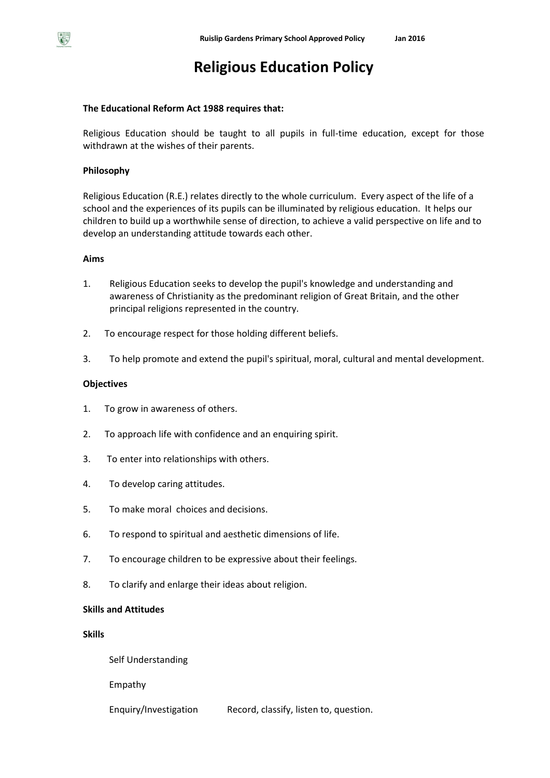# **Religious Education Policy**

## **The Educational Reform Act 1988 requires that:**

Religious Education should be taught to all pupils in full-time education, except for those withdrawn at the wishes of their parents.

## **Philosophy**

Religious Education (R.E.) relates directly to the whole curriculum. Every aspect of the life of a school and the experiences of its pupils can be illuminated by religious education. It helps our children to build up a worthwhile sense of direction, to achieve a valid perspective on life and to develop an understanding attitude towards each other.

## **Aims**

- 1. Religious Education seeks to develop the pupil's knowledge and understanding and awareness of Christianity as the predominant religion of Great Britain, and the other principal religions represented in the country.
- 2. To encourage respect for those holding different beliefs.
- 3. To help promote and extend the pupil's spiritual, moral, cultural and mental development.

## **Objectives**

- 1. To grow in awareness of others.
- 2. To approach life with confidence and an enquiring spirit.
- 3. To enter into relationships with others.
- 4. To develop caring attitudes.
- 5. To make moral choices and decisions.
- 6. To respond to spiritual and aesthetic dimensions of life.
- 7. To encourage children to be expressive about their feelings.
- 8. To clarify and enlarge their ideas about religion.

## **Skills and Attitudes**

## **Skills**

Self Understanding

Empathy

Enquiry/Investigation Record, classify, listen to, question.

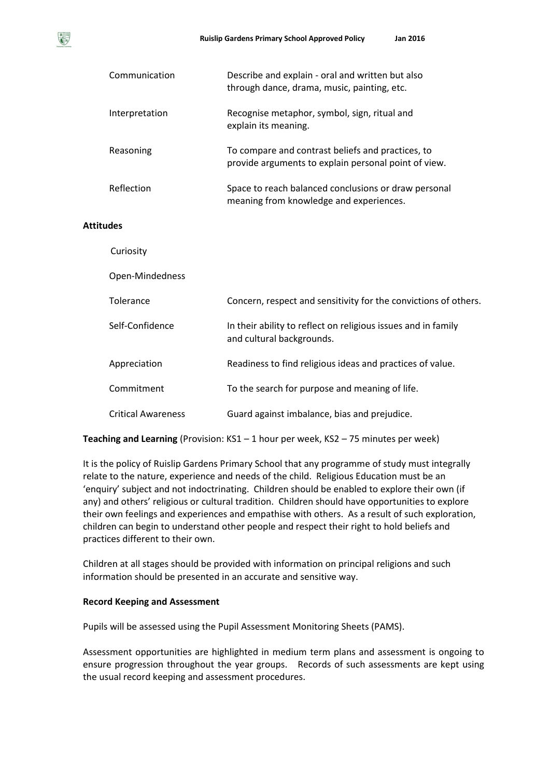|                  | Communication             | Describe and explain - oral and written but also<br>through dance, drama, music, painting, etc.           |  |  |
|------------------|---------------------------|-----------------------------------------------------------------------------------------------------------|--|--|
|                  | Interpretation            | Recognise metaphor, symbol, sign, ritual and<br>explain its meaning.                                      |  |  |
|                  | Reasoning                 | To compare and contrast beliefs and practices, to<br>provide arguments to explain personal point of view. |  |  |
|                  | Reflection                | Space to reach balanced conclusions or draw personal<br>meaning from knowledge and experiences.           |  |  |
| <b>Attitudes</b> |                           |                                                                                                           |  |  |
|                  | Curiosity                 |                                                                                                           |  |  |
|                  | Open-Mindedness           |                                                                                                           |  |  |
|                  | Tolerance                 | Concern, respect and sensitivity for the convictions of others.                                           |  |  |
|                  | Self-Confidence           | In their ability to reflect on religious issues and in family<br>and cultural backgrounds.                |  |  |
|                  | Appreciation              | Readiness to find religious ideas and practices of value.                                                 |  |  |
|                  | Commitment                | To the search for purpose and meaning of life.                                                            |  |  |
|                  | <b>Critical Awareness</b> | Guard against imbalance, bias and prejudice.                                                              |  |  |

**Teaching and Learning** (Provision: KS1 – 1 hour per week, KS2 – 75 minutes per week)

It is the policy of Ruislip Gardens Primary School that any programme of study must integrally relate to the nature, experience and needs of the child. Religious Education must be an 'enquiry' subject and not indoctrinating. Children should be enabled to explore their own (if any) and others' religious or cultural tradition. Children should have opportunities to explore their own feelings and experiences and empathise with others. As a result of such exploration, children can begin to understand other people and respect their right to hold beliefs and practices different to their own.

Children at all stages should be provided with information on principal religions and such information should be presented in an accurate and sensitive way.

## **Record Keeping and Assessment**

Pupils will be assessed using the Pupil Assessment Monitoring Sheets (PAMS).

Assessment opportunities are highlighted in medium term plans and assessment is ongoing to ensure progression throughout the year groups. Records of such assessments are kept using the usual record keeping and assessment procedures.